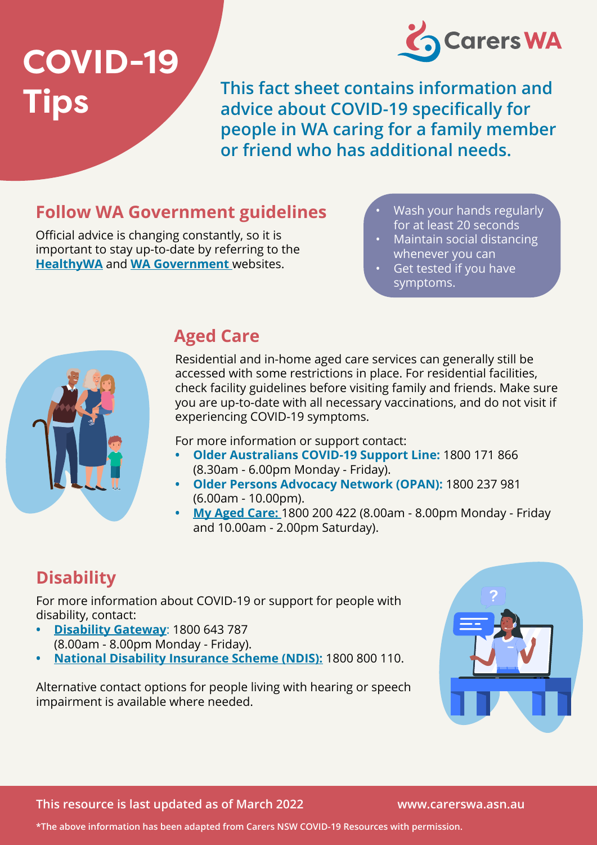# **COVID-19 Tips**



**This fact sheet contains information and advice about COVID-19 specifically for people in WA caring for a family member or friend who has additional needs.** 

#### **Follow WA Government guidelines**

Official advice is changing constantly, so it is important to stay up-to-date by referring to the **[HealthyWA](https://www.healthywa.wa.gov.au/Articles/A_E/Coronavirus)** and **[WA Government](https://www.wa.gov.au/government/covid-19-coronavirus)** websites.

- Wash your hands regularly for at least 20 seconds
- Maintain social distancing whenever you can
- Get tested if you have symptoms.



#### **Aged Care**

Residential and in-home aged care services can generally still be accessed with some restrictions in place. For residential facilities, check facility guidelines before visiting family and friends. Make sure you are up-to-date with all necessary vaccinations, and do not visit if experiencing COVID-19 symptoms.

For more information or support contact:

- **• Older Australians COVID-19 Support Line:** 1800 171 866 (8.30am - 6.00pm Monday - Friday).
- **• Older Persons Advocacy Network (OPAN):** 1800 237 981 (6.00am - 10.00pm).
- **• [My Aged Care:](https://www.myagedcare.gov.au/)** 1800 200 422 (8.00am 8.00pm Monday Friday and 10.00am - 2.00pm Saturday).

## **Disability**

For more information about COVID-19 or support for people with disability, contact:

- **• [Disability Gateway](https://www.disabilitygateway.gov.au/)**: 1800 643 787 (8.00am - 8.00pm Monday - Friday).
- **• [National Disability Insurance Scheme \(NDIS\):]( https://www.ndis.gov.au/)** 1800 800 110.

Alternative contact options for people living with hearing or speech impairment is available where needed.



**This resource is last updated as of March 2022 www.carerswa.asn.au** 

**\*The above information has been adapted from Carers NSW COVID-19 Resources with permission.**